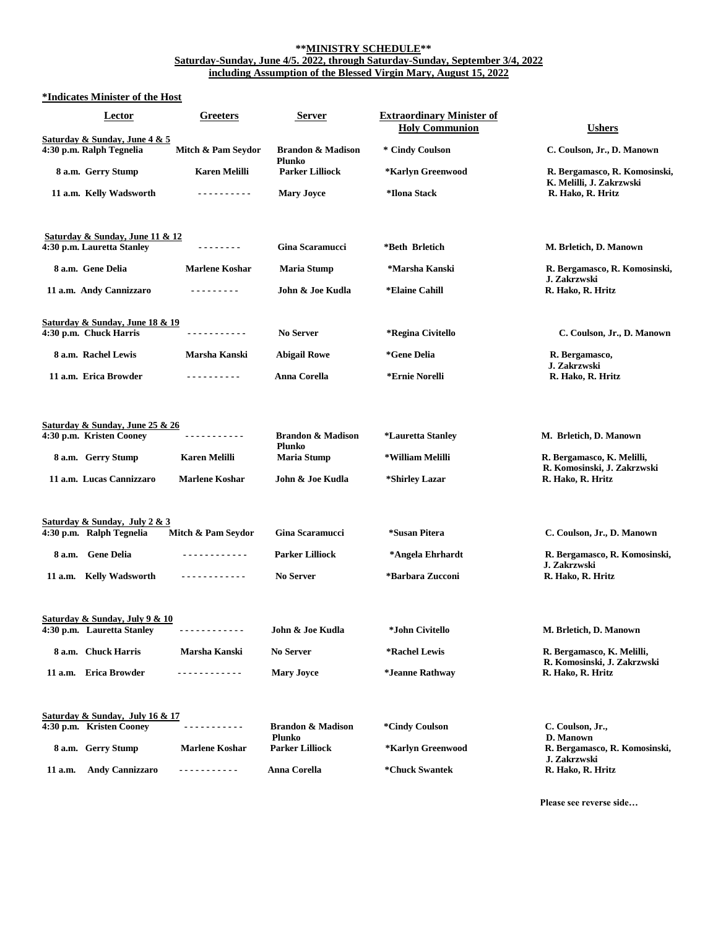#### **\*\*MINISTRY SCHEDULE\*\* Saturday-Sunday, June 4/5. 2022, through Saturday-Sunday, September 3/4, 2022 including Assumption of the Blessed Virgin Mary, August 15, 2022**

# **\*Indicates Minister of the Host**

|         | Lector                                                        | Greeters              | <b>Server</b>                                 | <b>Extraordinary Minister of</b><br><b>Holy Communion</b> | <b>Ushers</b>                                             |
|---------|---------------------------------------------------------------|-----------------------|-----------------------------------------------|-----------------------------------------------------------|-----------------------------------------------------------|
|         | Saturday & Sunday, June 4 & 5<br>4:30 p.m. Ralph Tegnelia     | Mitch & Pam Seydor    | <b>Brandon &amp; Madison</b>                  | * Cindy Coulson                                           | C. Coulson, Jr., D. Manown                                |
|         | 8 a.m. Gerry Stump                                            | <b>Karen Melilli</b>  | <b>Plunko</b><br><b>Parker Lilliock</b>       | *Karlyn Greenwood                                         | R. Bergamasco, R. Komosinski,<br>K. Melilli, J. Zakrzwski |
|         | 11 a.m. Kelly Wadsworth                                       | .                     | <b>Mary Joyce</b>                             | *Ilona Stack                                              | R. Hako, R. Hritz                                         |
|         | Saturday & Sunday, June 11 & 12<br>4:30 p.m. Lauretta Stanley | <u>.</u>              | <b>Gina Scaramucci</b>                        | *Beth Brletich                                            | M. Brletich, D. Manown                                    |
|         | 8 a.m. Gene Delia                                             | <b>Marlene Koshar</b> | <b>Maria Stump</b>                            | *Marsha Kanski                                            | R. Bergamasco, R. Komosinski,                             |
|         | 11 a.m. Andy Cannizzaro                                       | .                     | John & Joe Kudla                              | *Elaine Cahill                                            | J. Zakrzwski<br>R. Hako, R. Hritz                         |
|         | Saturday & Sunday, June 18 & 19<br>4:30 p.m. Chuck Harris     | <u>.</u>              | No Server                                     | <i><b>*Regina Civitello</b></i>                           | C. Coulson, Jr., D. Manown                                |
|         | 8 a.m. Rachel Lewis                                           | Marsha Kanski         | <b>Abigail Rowe</b>                           | *Gene Delia                                               | R. Bergamasco,                                            |
|         | 11 a.m. Erica Browder                                         | .                     | Anna Corella                                  | *Ernie Norelli                                            | J. Zakrzwski<br>R. Hako, R. Hritz                         |
|         |                                                               |                       |                                               |                                                           |                                                           |
|         | Saturday & Sunday, June 25 & 26<br>4:30 p.m. Kristen Cooney   | .                     | <b>Brandon &amp; Madison</b>                  | <i><b>*Lauretta Stanley</b></i>                           | M. Brletich, D. Manown                                    |
|         | 8 a.m. Gerry Stump                                            | <b>Karen Melilli</b>  | Plunko<br><b>Maria Stump</b>                  | *William Melilli                                          | R. Bergamasco, K. Melilli,<br>R. Komosinski, J. Zakrzwski |
|         | 11 a.m. Lucas Cannizzaro                                      | <b>Marlene Koshar</b> | John & Joe Kudla                              | *Shirley Lazar                                            | R. Hako, R. Hritz                                         |
|         | Saturday & Sunday, July 2 & 3                                 |                       |                                               |                                                           |                                                           |
|         | 4:30 p.m. Ralph Tegnelia                                      | Mitch & Pam Seydor    | Gina Scaramucci                               | *Susan Pitera                                             | C. Coulson, Jr., D. Manown                                |
|         | 8 a.m. Gene Delia                                             | <u>.</u>              | <b>Parker Lilliock</b>                        | *Angela Ehrhardt                                          | R. Bergamasco, R. Komosinski,<br>J. Zakrzwski             |
|         | 11 a.m. Kelly Wadsworth                                       | <u>.</u>              | <b>No Server</b>                              | *Barbara Zucconi                                          | R. Hako, R. Hritz                                         |
|         | <u>Saturday &amp; Sunday, July 9 &amp; 10</u>                 |                       |                                               |                                                           |                                                           |
|         | 4:30 p.m. Lauretta Stanley                                    |                       | John & Joe Kudla                              | *John Civitello                                           | M. Brletich, D. Manown                                    |
|         | 8 a.m. Chuck Harris                                           | Marsha Kanski         | <b>No Server</b>                              | *Rachel Lewis                                             | R. Bergamasco, K. Melilli,<br>R. Komosinski, J. Zakrzwski |
|         | 11 a.m. Erica Browder                                         | .                     | <b>Mary Joyce</b>                             | <i>*Jeanne Rathway</i>                                    | R. Hako, R. Hritz                                         |
|         | Saturday & Sunday, July 16 & 17                               |                       |                                               |                                                           |                                                           |
|         | 4:30 p.m. Kristen Cooney                                      | <u>.</u>              | <b>Brandon &amp; Madison</b><br><b>Plunko</b> | *Cindy Coulson                                            | C. Coulson, Jr.,<br>D. Manown                             |
|         | 8 a.m. Gerry Stump                                            | <b>Marlene Koshar</b> | <b>Parker Lilliock</b>                        | *Karlyn Greenwood                                         | R. Bergamasco, R. Komosinski,<br>J. Zakrzwski             |
| 11 a.m. | <b>Andy Cannizzaro</b>                                        | - - - - - - - - - -   | Anna Corella                                  | *Chuck Swantek                                            | R. Hako, R. Hritz                                         |

 **Please see reverse side…**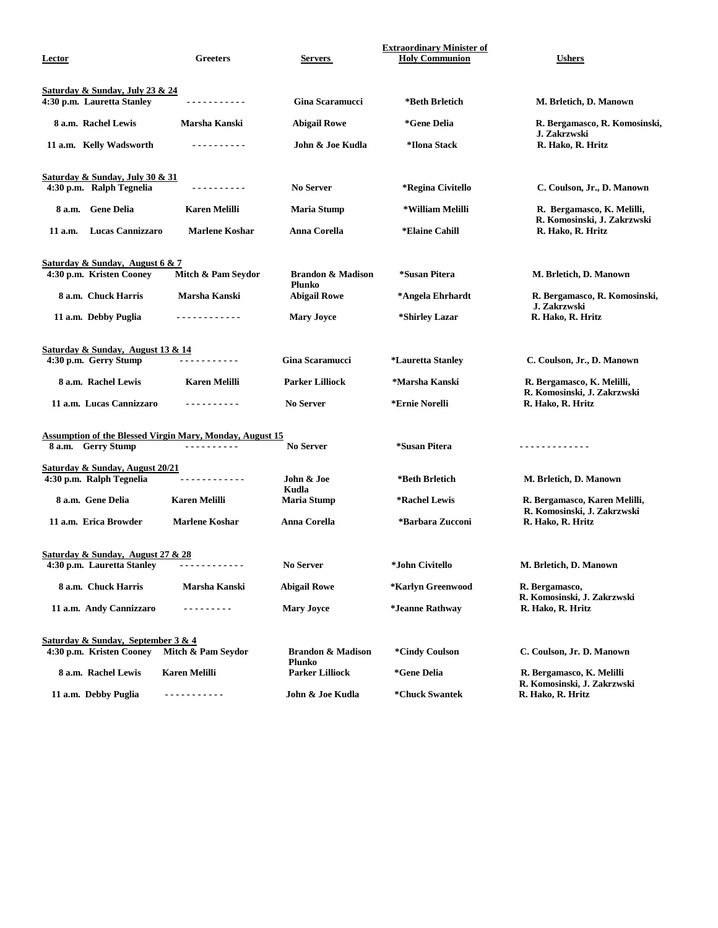| Lector                                           | <b>Greeters</b>                                                 | Servers                                | <b>Extraordinary Minister of</b><br><b>Holy Communion</b> | <b>Ushers</b>                                                |
|--------------------------------------------------|-----------------------------------------------------------------|----------------------------------------|-----------------------------------------------------------|--------------------------------------------------------------|
| <b>Saturday &amp; Sunday, July 23 &amp; 24</b>   |                                                                 |                                        |                                                           |                                                              |
| 4:30 p.m. Lauretta Stanley                       | <u>.</u>                                                        | <b>Gina Scaramucci</b>                 | *Beth Brletich                                            | M. Brletich, D. Manown                                       |
| 8 a.m. Rachel Lewis                              | Marsha Kanski                                                   | <b>Abigail Rowe</b>                    | *Gene Delia                                               | R. Bergamasco, R. Komosinski,<br>J. Zakrzwski                |
| 11 a.m. Kelly Wadsworth                          |                                                                 | John & Joe Kudla                       | *Ilona Stack                                              | R. Hako, R. Hritz                                            |
| Saturday & Sunday, July 30 & 31                  |                                                                 |                                        |                                                           |                                                              |
| 4:30 p.m. Ralph Tegnelia                         | ----------                                                      | <b>No Server</b>                       | *Regina Civitello                                         | C. Coulson, Jr., D. Manown                                   |
| <b>Gene Delia</b><br>8 a.m.                      | <b>Karen Melilli</b>                                            | <b>Maria Stump</b>                     | *William Melilli                                          | R. Bergamasco, K. Melilli,<br>R. Komosinski, J. Zakrzwski    |
| <b>Lucas Cannizzaro</b><br>11 a.m.               | <b>Marlene Koshar</b>                                           | Anna Corella                           | *Elaine Cahill                                            | R. Hako, R. Hritz                                            |
| Saturday & Sunday, August 6 & 7                  |                                                                 |                                        |                                                           |                                                              |
| 4:30 p.m. Kristen Cooney                         | Mitch & Pam Seydor                                              | <b>Brandon &amp; Madison</b><br>Plunko | *Susan Pitera                                             | M. Brletich, D. Manown                                       |
| 8 a.m. Chuck Harris                              | Marsha Kanski                                                   | <b>Abigail Rowe</b>                    | *Angela Ehrhardt                                          | R. Bergamasco, R. Komosinski,<br>J. Zakrzwski                |
| 11 a.m. Debby Puglia                             | <u>.</u>                                                        | <b>Mary Joyce</b>                      | *Shirley Lazar                                            | R. Hako, R. Hritz                                            |
| Saturday & Sunday, August 13 & 14                |                                                                 |                                        |                                                           |                                                              |
| 4:30 p.m. Gerry Stump                            | .                                                               | Gina Scaramucci                        | *Lauretta Stanley                                         | C. Coulson, Jr., D. Manown                                   |
| 8 a.m. Rachel Lewis                              | <b>Karen Melilli</b>                                            | <b>Parker Lilliock</b>                 | *Marsha Kanski                                            | R. Bergamasco, K. Melilli,<br>R. Komosinski, J. Zakrzwski    |
| 11 a.m. Lucas Cannizzaro                         | .                                                               | <b>No Server</b>                       | *Ernie Norelli                                            | R. Hako, R. Hritz                                            |
|                                                  | <b>Assumption of the Blessed Virgin Mary, Monday, August 15</b> |                                        |                                                           |                                                              |
| 8 a.m. Gerry Stump                               | <u> - - - - - - - - - -</u>                                     | <b>No Server</b>                       | *Susan Pitera                                             | <u> - - - - - - - - - - - -</u>                              |
| Saturday & Sunday, August 20/21                  |                                                                 |                                        |                                                           |                                                              |
| 4:30 p.m. Ralph Tegnelia                         | <u> - - - - - - - - - -</u>                                     | John & Joe<br>Kudla                    | *Beth Brletich                                            | M. Brletich, D. Manown                                       |
| 8 a.m. Gene Delia                                | <b>Karen Melilli</b>                                            | <b>Maria Stump</b>                     | *Rachel Lewis                                             | R. Bergamasco, Karen Melilli,<br>R. Komosinski, J. Zakrzwski |
| 11 a.m. Erica Browder                            | <b>Marlene Koshar</b>                                           | Anna Corella                           | *Barbara Zucconi                                          | R. Hako, R. Hritz                                            |
| <b>Saturday &amp; Sunday, August 27 &amp; 28</b> |                                                                 |                                        |                                                           |                                                              |
| 4:30 p.m. Lauretta Stanley                       |                                                                 | <b>No Server</b>                       | *John Civitello                                           | M. Brletich, D. Manown                                       |
| 8 a.m. Chuck Harris                              | Marsha Kanski                                                   | <b>Abigail Rowe</b>                    | *Karlyn Greenwood                                         | R. Bergamasco,<br>R. Komosinski, J. Zakrzwski                |
| 11 a.m. Andy Cannizzaro                          | - - - - - - - - -                                               | <b>Mary Joyce</b>                      | *Jeanne Rathway                                           | R. Hako, R. Hritz                                            |
| Saturday & Sunday, September 3 & 4               |                                                                 |                                        |                                                           |                                                              |
| 4:30 p.m. Kristen Cooney                         | Mitch & Pam Seydor                                              | <b>Brandon &amp; Madison</b><br>Plunko | <i>*Cindy Coulson</i>                                     | C. Coulson, Jr. D. Manown                                    |
| 8 a.m. Rachel Lewis                              | <b>Karen Melilli</b>                                            | <b>Parker Lilliock</b>                 | *Gene Delia                                               | R. Bergamasco, K. Melilli<br>R. Komosinski, J. Zakrzwski     |
| 11 a.m. Debby Puglia                             | .                                                               | John & Joe Kudla                       | *Chuck Swantek                                            | R. Hako, R. Hritz                                            |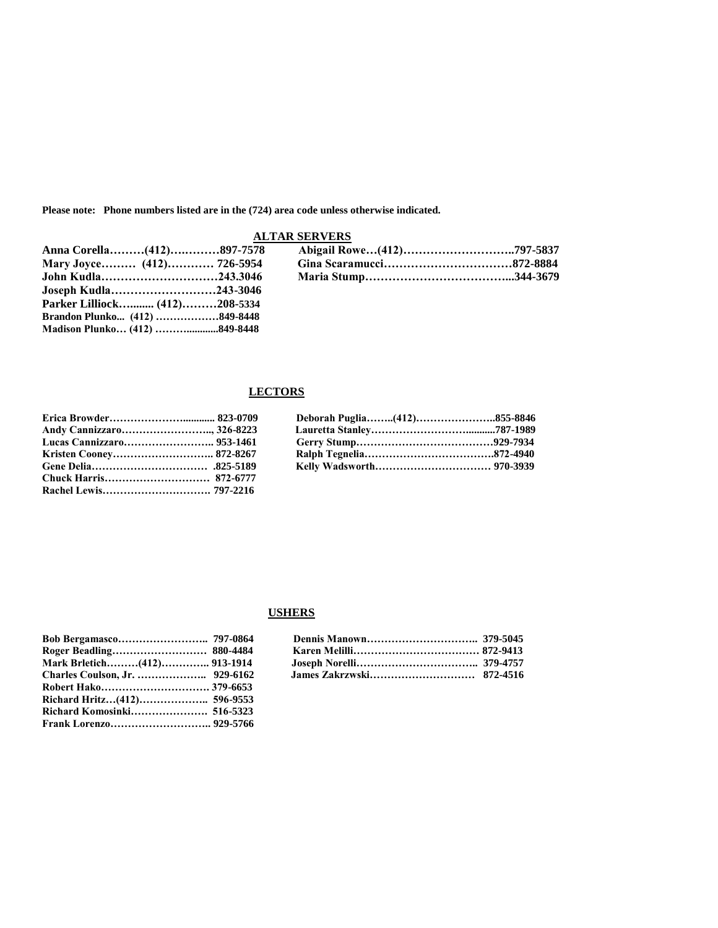**Please note: Phone numbers listed are in the (724) area code unless otherwise indicated.**

# **ALTAR SERVERS**

| Anna Corella(412)897-7578     |  |  |
|-------------------------------|--|--|
| Mary Joyce (412) 726-5954     |  |  |
| John Kudla243.3046            |  |  |
| Joseph Kudla243-3046          |  |  |
| Parker Lilliock (412)208-5334 |  |  |

# **LECTORS**

**Brandon Plunko... (412) ………………849-8448 Madison Plunko… (412) ………............849-8448** 

| Erica Browder 823-0709    |  |  |
|---------------------------|--|--|
| Andy Cannizzaro, 326-8223 |  |  |
| Lucas Cannizzaro 953-1461 |  |  |
| Kristen Cooney 872-8267   |  |  |
|                           |  |  |

# **USHERS**

|                             | Dennis Manown   |
|-----------------------------|-----------------|
|                             | Karen Melilli   |
| Mark Brletich(412) 913-1914 | Joseph Norelli  |
|                             | James Zakrzwski |
|                             |                 |
|                             |                 |
|                             |                 |
|                             |                 |

| Roger Beadling 880-4484            |  |  |
|------------------------------------|--|--|
| <b>Mark Brletich(412) 913-1914</b> |  |  |
|                                    |  |  |